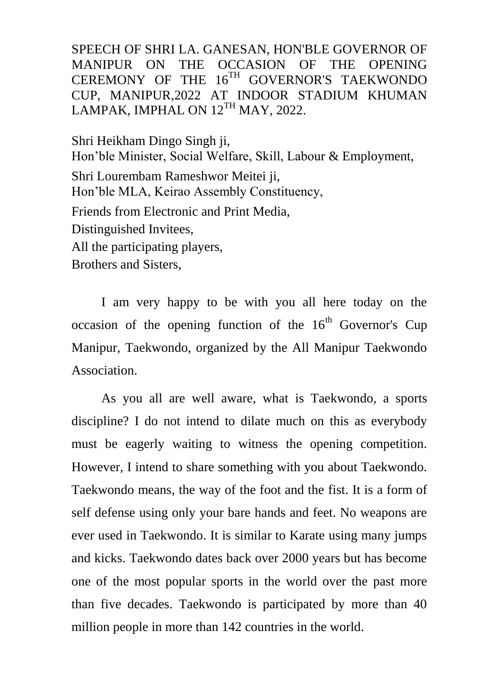SPEECH OF SHRI LA. GANESAN, HON'BLE GOVERNOR OF MANIPUR ON THE OCCASION OF THE OPENING CEREMONY OF THE 16<sup>TH</sup> GOVERNOR'S TAEKWONDO CUP, MANIPUR,2022 AT INDOOR STADIUM KHUMAN LAMPAK, IMPHAL ON  $12^{TH}$  MAY, 2022.

Shri Heikham Dingo Singh ji, Hon'ble Minister, Social Welfare, Skill, Labour & Employment, Shri Lourembam Rameshwor Meitei ji, Hon'ble MLA, Keirao Assembly Constituency, Friends from Electronic and Print Media, Distinguished Invitees, All the participating players, Brothers and Sisters,

I am very happy to be with you all here today on the occasion of the opening function of the  $16<sup>th</sup>$  Governor's Cup Manipur, Taekwondo, organized by the All Manipur Taekwondo Association.

As you all are well aware, what is Taekwondo, a sports discipline? I do not intend to dilate much on this as everybody must be eagerly waiting to witness the opening competition. However, I intend to share something with you about Taekwondo. Taekwondo means, the way of the foot and the fist. It is a form of self defense using only your bare hands and feet. No weapons are ever used in Taekwondo. It is similar to Karate using many jumps and kicks. Taekwondo dates back over 2000 years but has become one of the most popular sports in the world over the past more than five decades. Taekwondo is participated by more than 40 million people in more than 142 countries in the world.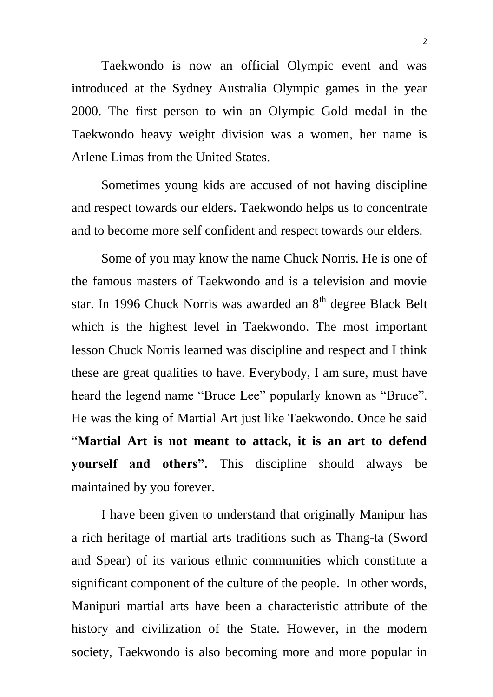Taekwondo is now an official Olympic event and was introduced at the Sydney Australia Olympic games in the year 2000. The first person to win an Olympic Gold medal in the Taekwondo heavy weight division was a women, her name is Arlene Limas from the United States.

Sometimes young kids are accused of not having discipline and respect towards our elders. Taekwondo helps us to concentrate and to become more self confident and respect towards our elders.

Some of you may know the name Chuck Norris. He is one of the famous masters of Taekwondo and is a television and movie star. In 1996 Chuck Norris was awarded an  $8<sup>th</sup>$  degree Black Belt which is the highest level in Taekwondo. The most important lesson Chuck Norris learned was discipline and respect and I think these are great qualities to have. Everybody, I am sure, must have heard the legend name "Bruce Lee" popularly known as "Bruce". He was the king of Martial Art just like Taekwondo. Once he said "**Martial Art is not meant to attack, it is an art to defend yourself and others".** This discipline should always be maintained by you forever.

I have been given to understand that originally Manipur has a rich heritage of martial arts traditions such as Thang-ta (Sword and Spear) of its various ethnic communities which constitute a significant component of the culture of the people. In other words, Manipuri martial arts have been a characteristic attribute of the history and civilization of the State. However, in the modern society, Taekwondo is also becoming more and more popular in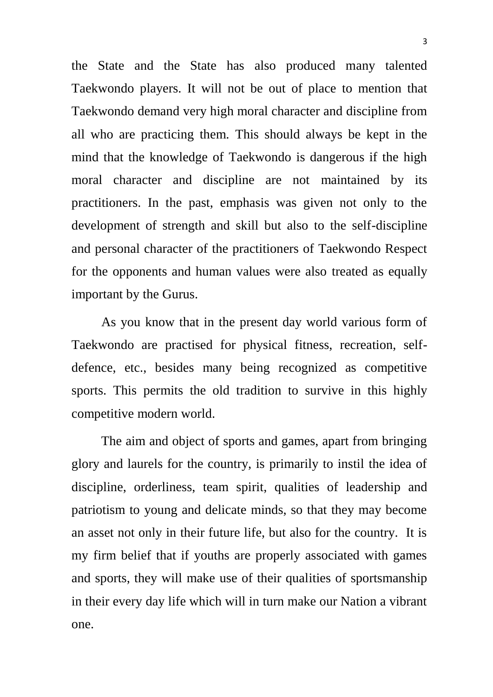the State and the State has also produced many talented Taekwondo players. It will not be out of place to mention that Taekwondo demand very high moral character and discipline from all who are practicing them. This should always be kept in the mind that the knowledge of Taekwondo is dangerous if the high moral character and discipline are not maintained by its practitioners. In the past, emphasis was given not only to the development of strength and skill but also to the self-discipline and personal character of the practitioners of Taekwondo Respect for the opponents and human values were also treated as equally important by the Gurus.

As you know that in the present day world various form of Taekwondo are practised for physical fitness, recreation, selfdefence, etc., besides many being recognized as competitive sports. This permits the old tradition to survive in this highly competitive modern world.

 The aim and object of sports and games, apart from bringing glory and laurels for the country, is primarily to instil the idea of discipline, orderliness, team spirit, qualities of leadership and patriotism to young and delicate minds, so that they may become an asset not only in their future life, but also for the country. It is my firm belief that if youths are properly associated with games and sports, they will make use of their qualities of sportsmanship in their every day life which will in turn make our Nation a vibrant one.